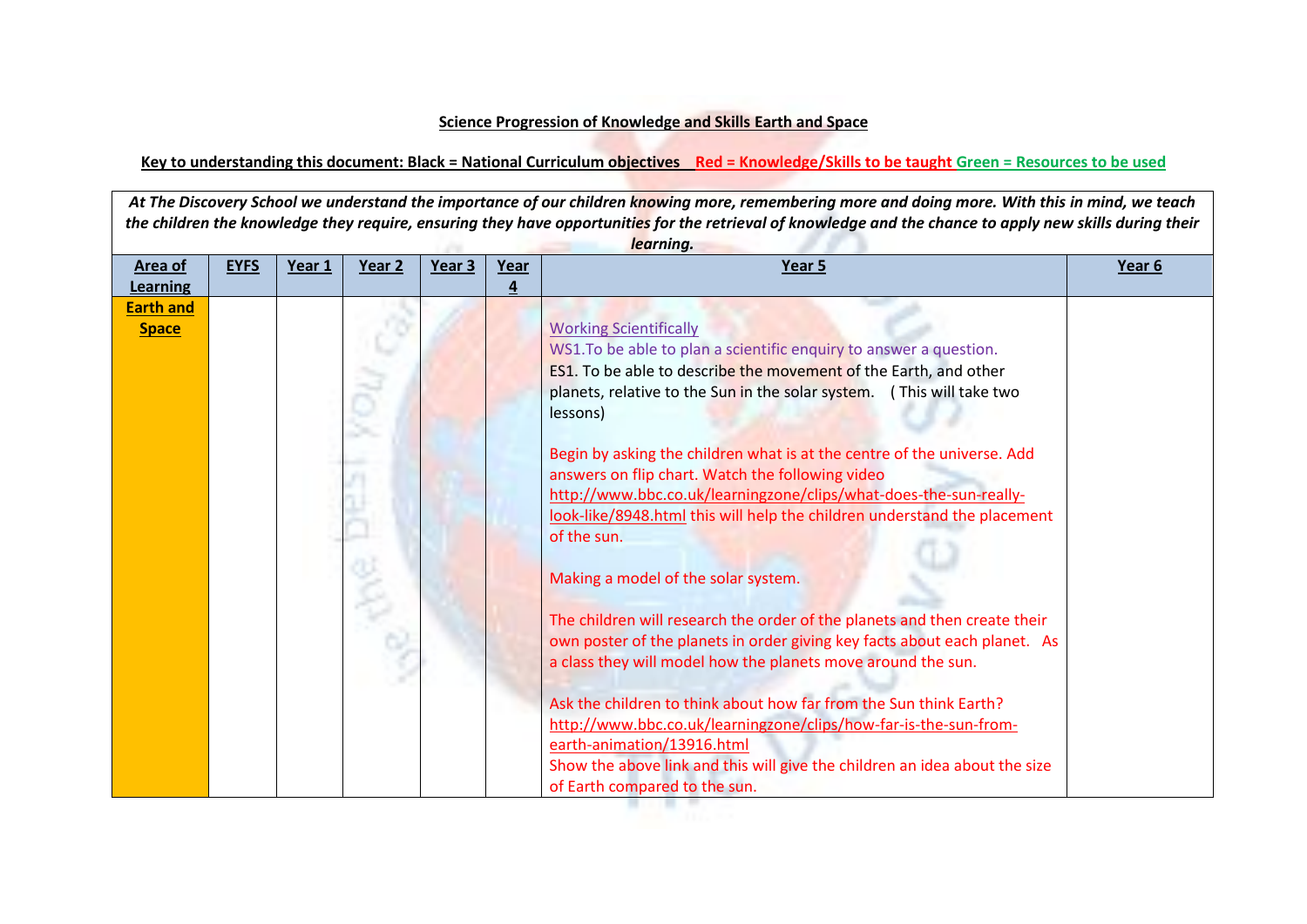## **Science Progression of Knowledge and Skills Earth and Space**

## **Key to understanding this document: Black = National Curriculum objectives Red = Knowledge/Skills to be taught Green = Resources to be used**

At The Discovery School we understand the importance of our children knowing more, remembering more and doing more. With this in mind, we teach *the children the knowledge they require, ensuring they have opportunities for the retrieval of knowledge and the chance to apply new skills during their learning.*

| Area of                          | <b>EYFS</b> | Year 1 | Year 2 | Year 3 | Year | Year 5                                                                                                                                                                                                                                                                                                                                                                                                                                                                                                                                                                                                                                                                                                                                                                                                                                                                                                                                                                                                                                                                                                                     | Year 6 |
|----------------------------------|-------------|--------|--------|--------|------|----------------------------------------------------------------------------------------------------------------------------------------------------------------------------------------------------------------------------------------------------------------------------------------------------------------------------------------------------------------------------------------------------------------------------------------------------------------------------------------------------------------------------------------------------------------------------------------------------------------------------------------------------------------------------------------------------------------------------------------------------------------------------------------------------------------------------------------------------------------------------------------------------------------------------------------------------------------------------------------------------------------------------------------------------------------------------------------------------------------------------|--------|
| <b>Learning</b>                  |             |        |        |        | 4    |                                                                                                                                                                                                                                                                                                                                                                                                                                                                                                                                                                                                                                                                                                                                                                                                                                                                                                                                                                                                                                                                                                                            |        |
| <b>Earth and</b><br><b>Space</b> |             |        |        |        |      | <b>Working Scientifically</b><br>WS1. To be able to plan a scientific enquiry to answer a question.<br><b>ES1</b> . To be able to describe the movement of the Earth, and other<br>planets, relative to the Sun in the solar system. (This will take two<br>lessons)<br>Begin by asking the children what is at the centre of the universe. Add<br>answers on flip chart. Watch the following video<br>http://www.bbc.co.uk/learningzone/clips/what-does-the-sun-really-<br>look-like/8948.html this will help the children understand the placement<br>of the sun.<br>Making a model of the solar system.<br>The children will research the order of the planets and then create their<br>own poster of the planets in order giving key facts about each planet. As<br>a class they will model how the planets move around the sun.<br>Ask the children to think about how far from the Sun think Earth?<br>http://www.bbc.co.uk/learningzone/clips/how-far-is-the-sun-from-<br>earth-animation/13916.html<br>Show the above link and this will give the children an idea about the size<br>of Earth compared to the sun. |        |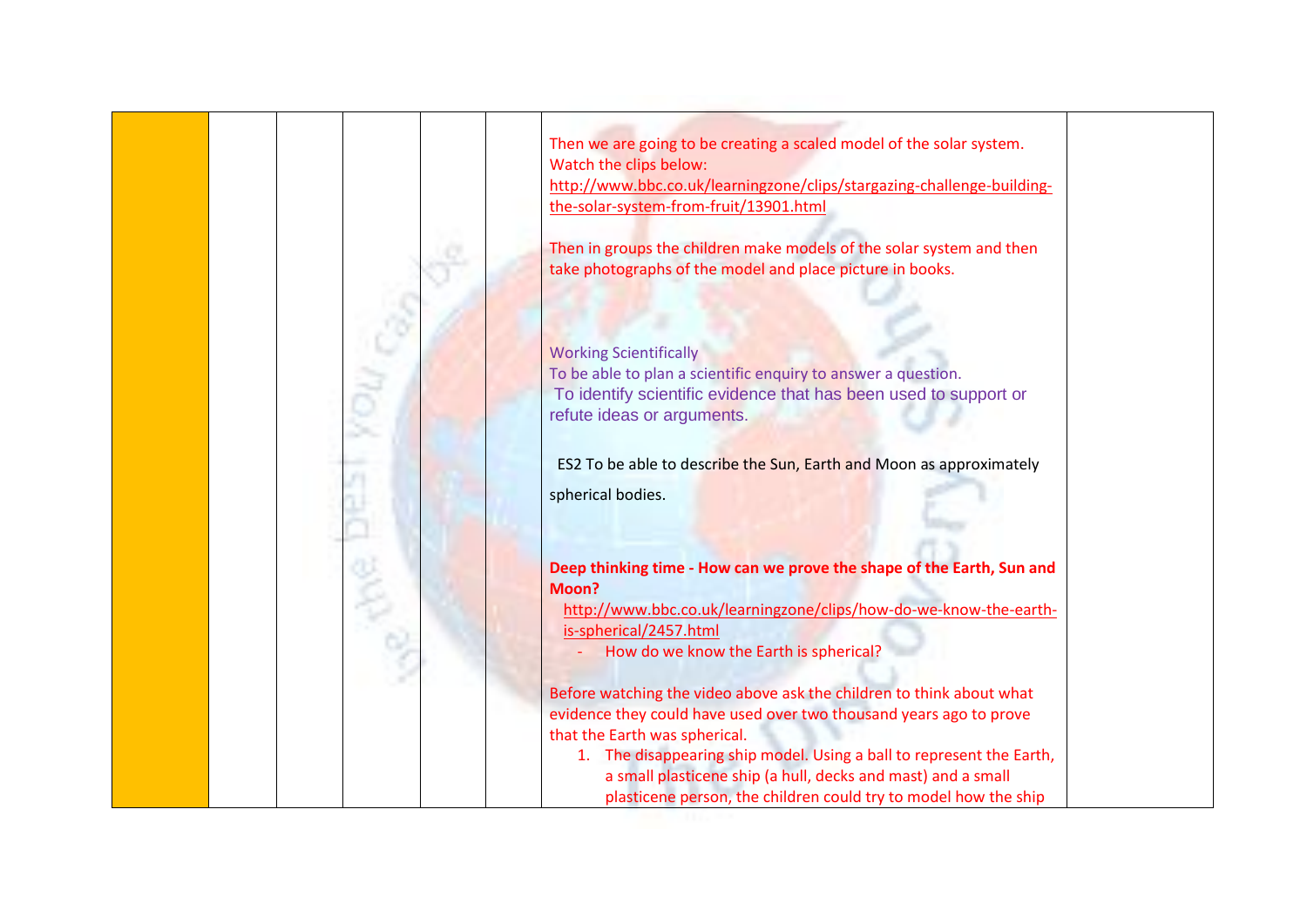

Then we are going to be creating a scaled model of the solar system. Watch the clips below:

[http://www.bbc.co.uk/learningzone/clips/stargazing-challenge-building](http://www.bbc.co.uk/learningzone/clips/stargazing-challenge-building-the-solar-system-from-fruit/13901.html)[the-solar-system-from-fruit/13901.html](http://www.bbc.co.uk/learningzone/clips/stargazing-challenge-building-the-solar-system-from-fruit/13901.html)

Then in groups the children make models of the solar system and then take photographs of the model and place picture in books.

Working Scientifically To be able to plan a scientific enquiry to answer a question. To identify scientific evidence that has been used to support or refute ideas or arguments.

ES2 To be able to describe the Sun, Earth and Moon as approximately spherical bodies.

**Deep thinking time - How can we prove the shape of the Earth, Sun and Moon?**

[http://www.bbc.co.uk/learningzone/clips/how-do-we-know-the-earth](http://www.bbc.co.uk/learningzone/clips/how-do-we-know-the-earth-is-spherical/2457.html)[is-spherical/2457.html](http://www.bbc.co.uk/learningzone/clips/how-do-we-know-the-earth-is-spherical/2457.html)

- How do we know the Earth is spherical?

Before watching the video above ask the children to think about what evidence they could have used over two thousand years ago to prove that the Earth was spherical.

1. The disappearing ship model. Using a ball to represent the Earth, a small plasticene ship (a hull, decks and mast) and a small plasticene person, the children could try to model how the ship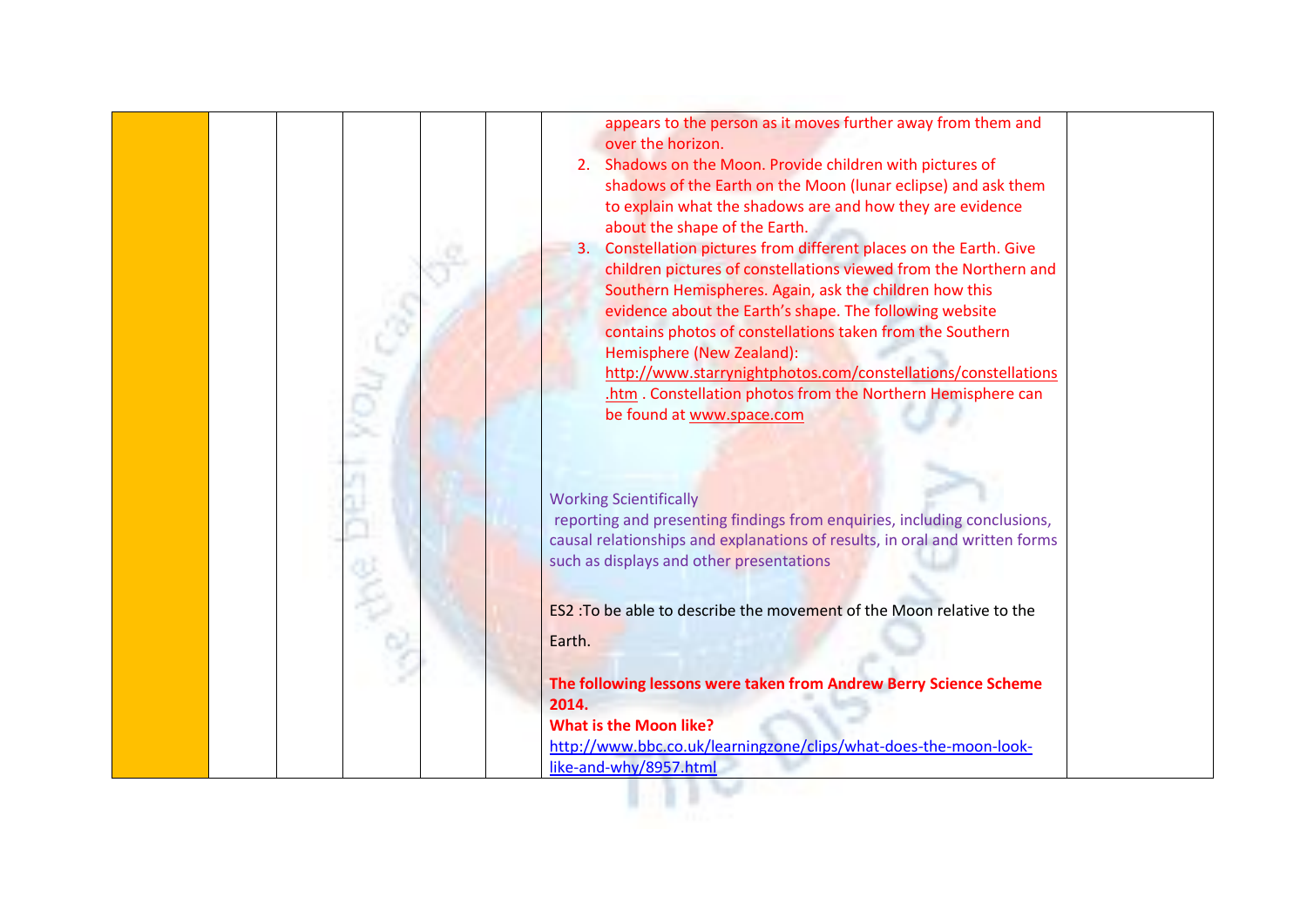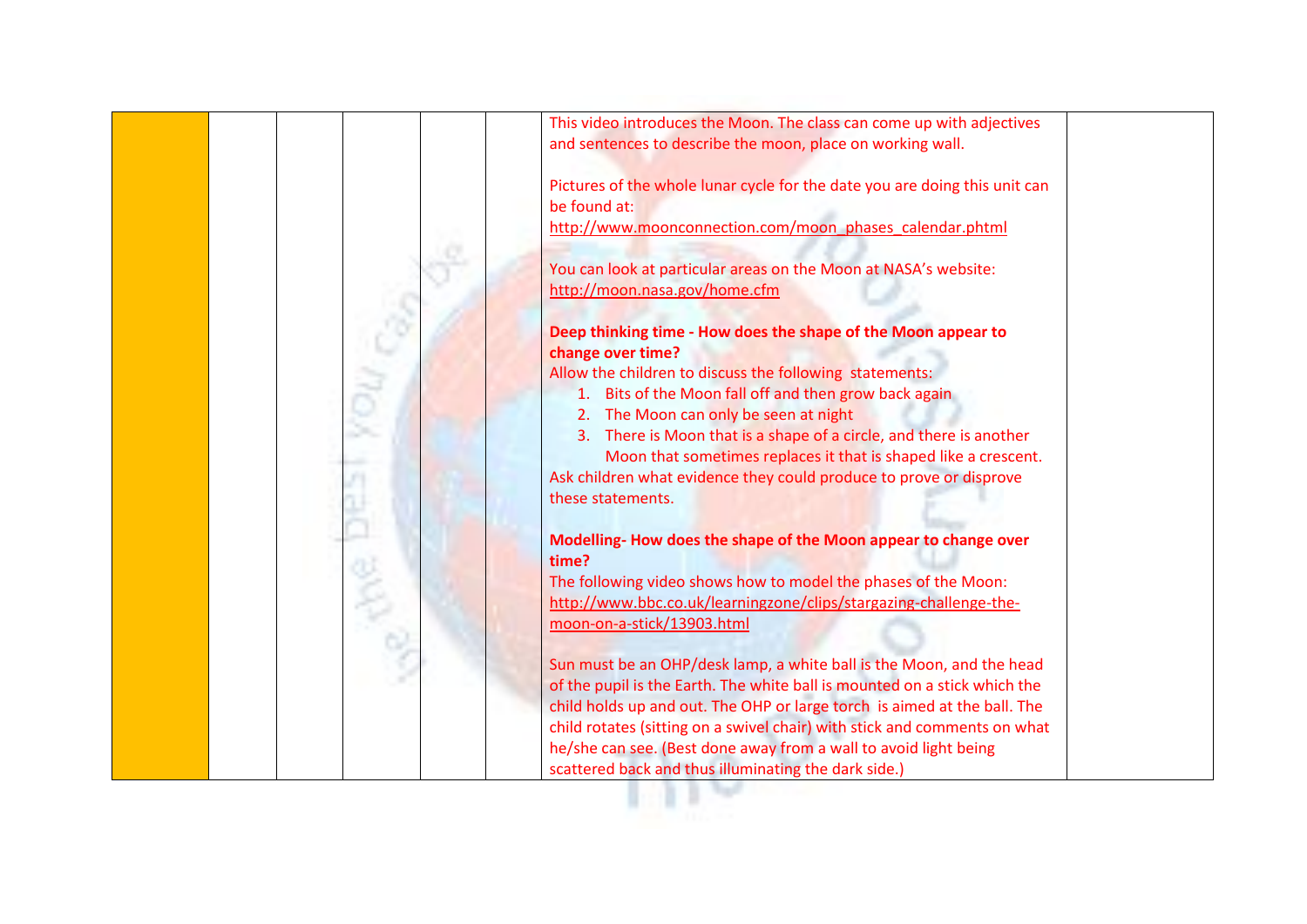

This video introduces the Moon. The class can come up with adjectives and sentences to describe the moon, place on working wall.

Pictures of the whole lunar cycle for the date you are doing this unit can be found at:

[http://www.moonconnection.com/moon\\_phases\\_calendar.phtml](http://www.moonconnection.com/moon_phases_calendar.phtml)

You can look at particular areas on the Moon at NASA's website: <http://moon.nasa.gov/home.cfm>

**Deep thinking time - How does the shape of the Moon appear to change over time?**

Allow the children to discuss the following statements:

- 1. Bits of the Moon fall off and then grow back again
- 2. The Moon can only be seen at night
- 3. There is Moon that is a shape of a circle, and there is another Moon that sometimes replaces it that is shaped like a crescent.

Ask children what evidence they could produce to prove or disprove these statements.

**Modelling- How does the shape of the Moon appear to change over time?**

The following video shows how to model the phases of the Moon: [http://www.bbc.co.uk/learningzone/clips/stargazing-challenge-the](http://www.bbc.co.uk/learningzone/clips/stargazing-challenge-the-moon-on-a-stick/13903.html)[moon-on-a-stick/13903.html](http://www.bbc.co.uk/learningzone/clips/stargazing-challenge-the-moon-on-a-stick/13903.html)

Sun must be an OHP/desk lamp, a white ball is the Moon, and the head of the pupil is the Earth. The white ball is mounted on a stick which the child holds up and out. The OHP or large torch is aimed at the ball. The child rotates (sitting on a swivel chair) with stick and comments on what he/she can see. (Best done away from a wall to avoid light being scattered back and thus illuminating the dark side.)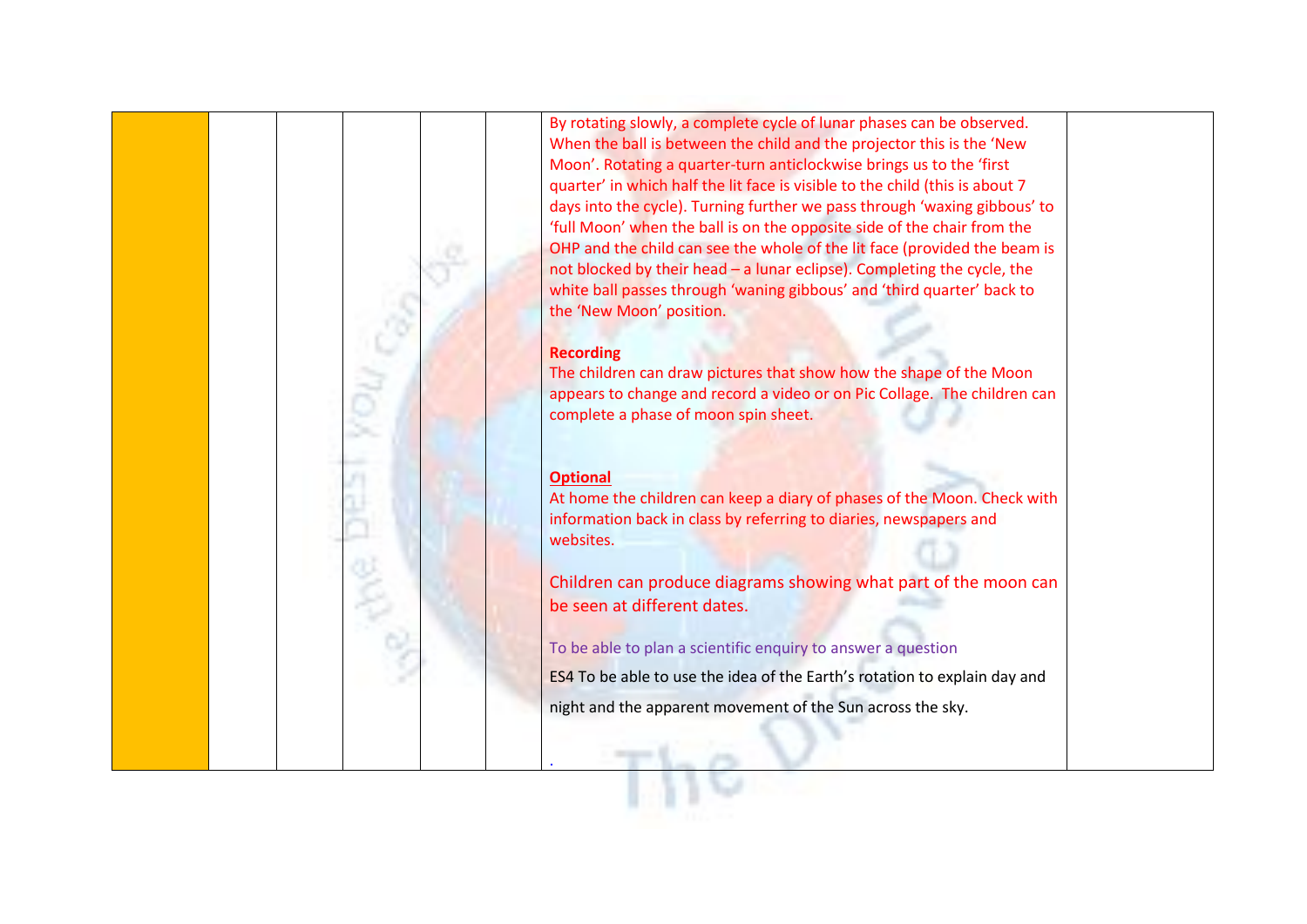

By rotating slowly, a complete cycle of lunar phases can be observed. When the ball is between the child and the projector this is the 'New Moon'. Rotating a quarter-turn anticlockwise brings us to the 'first quarter' in which half the lit face is visible to the child (this is about 7 days into the cycle). Turning further we pass through 'waxing gibbous' to 'full Moon' when the ball is on the opposite side of the chair from the OHP and the child can see the whole of the lit face (provided the beam is not blocked by their head – a lunar eclipse). Completing the cycle, the white ball passes through 'waning gibbous' and 'third quarter' back to the 'New Moon' position.

## **Recording**

The children can draw pictures that show how the shape of the Moon appears to change and record a video or on Pic Collage. The children can complete a phase of moon spin sheet.

## **Optional**

.

At home the children can keep a diary of phases of the Moon. Check with information back in class by referring to diaries, newspapers and websites.

Children can produce diagrams showing what part of the moon can be seen at different dates.

To be able to plan a scientific enquiry to answer a question

ES4 To be able to use the idea of the Earth's rotation to explain day and night and the apparent movement of the Sun across the sky.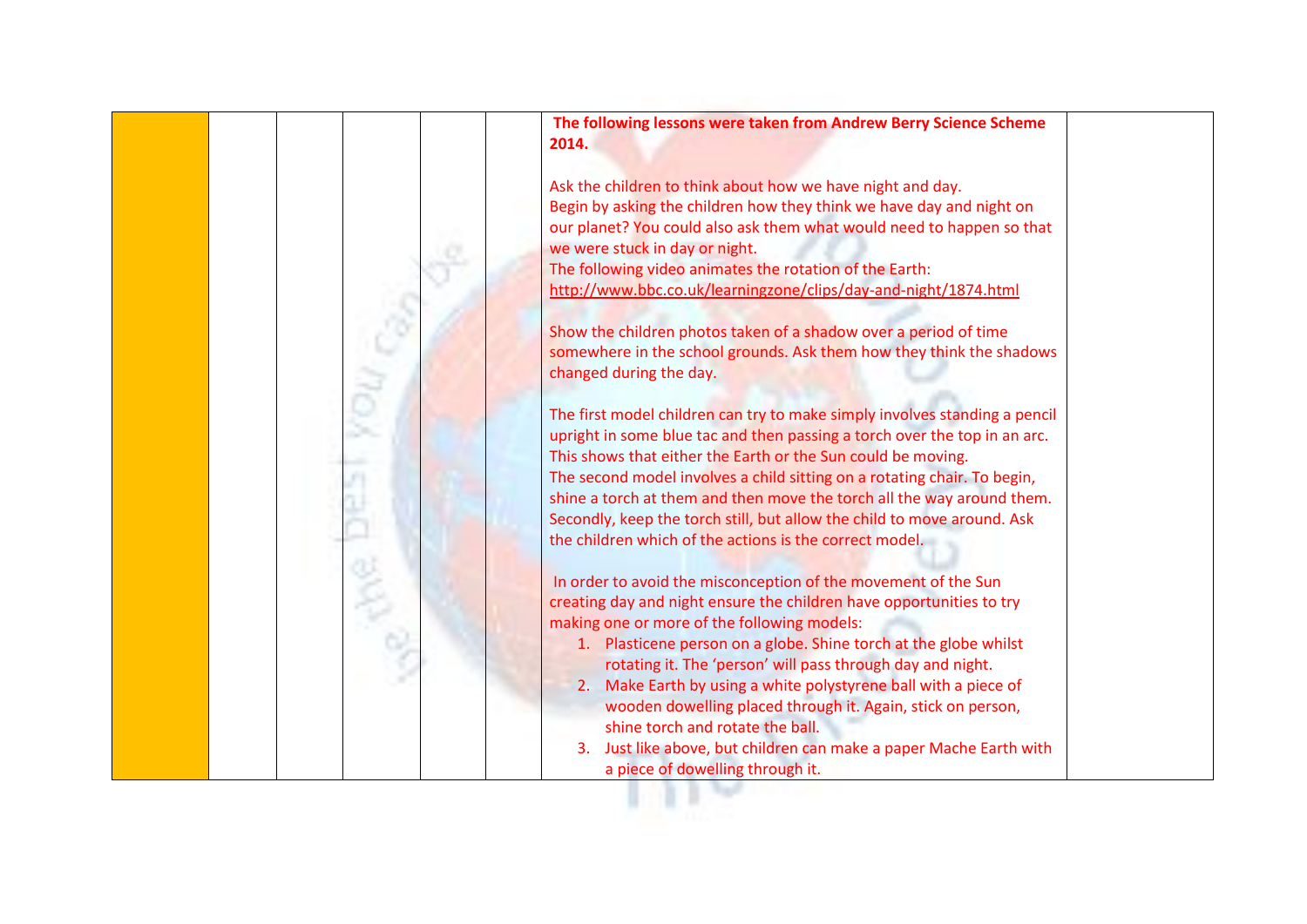

**The following lessons were taken from Andrew Berry Science Scheme 2014.**

Ask the children to think about how we have night and day. Begin by asking the children how they think we have day and night on our planet? You could also ask them what would need to happen so that we were stuck in day or night.

The following video animates the rotation of the Earth: <http://www.bbc.co.uk/learningzone/clips/day-and-night/1874.html>

Show the children photos taken of a shadow over a period of time somewhere in the school grounds. Ask them how they think the shadows changed during the day.

The first model children can try to make simply involves standing a pencil upright in some blue tac and then passing a torch over the top in an arc. This shows that either the Earth or the Sun could be moving. The second model involves a child sitting on a rotating chair. To begin, shine a torch at them and then move the torch all the way around them. Secondly, keep the torch still, but allow the child to move around. Ask the children which of the actions is the correct model.

In order to avoid the misconception of the movement of the Sun creating day and night ensure the children have opportunities to try making one or more of the following models:

- 1. Plasticene person on a globe. Shine torch at the globe whilst rotating it. The 'person' will pass through day and night.
- 2. Make Earth by using a white polystyrene ball with a piece of wooden dowelling placed through it. Again, stick on person, shine torch and rotate the ball.
- 3. Just like above, but children can make a paper Mache Earth with a piece of dowelling through it.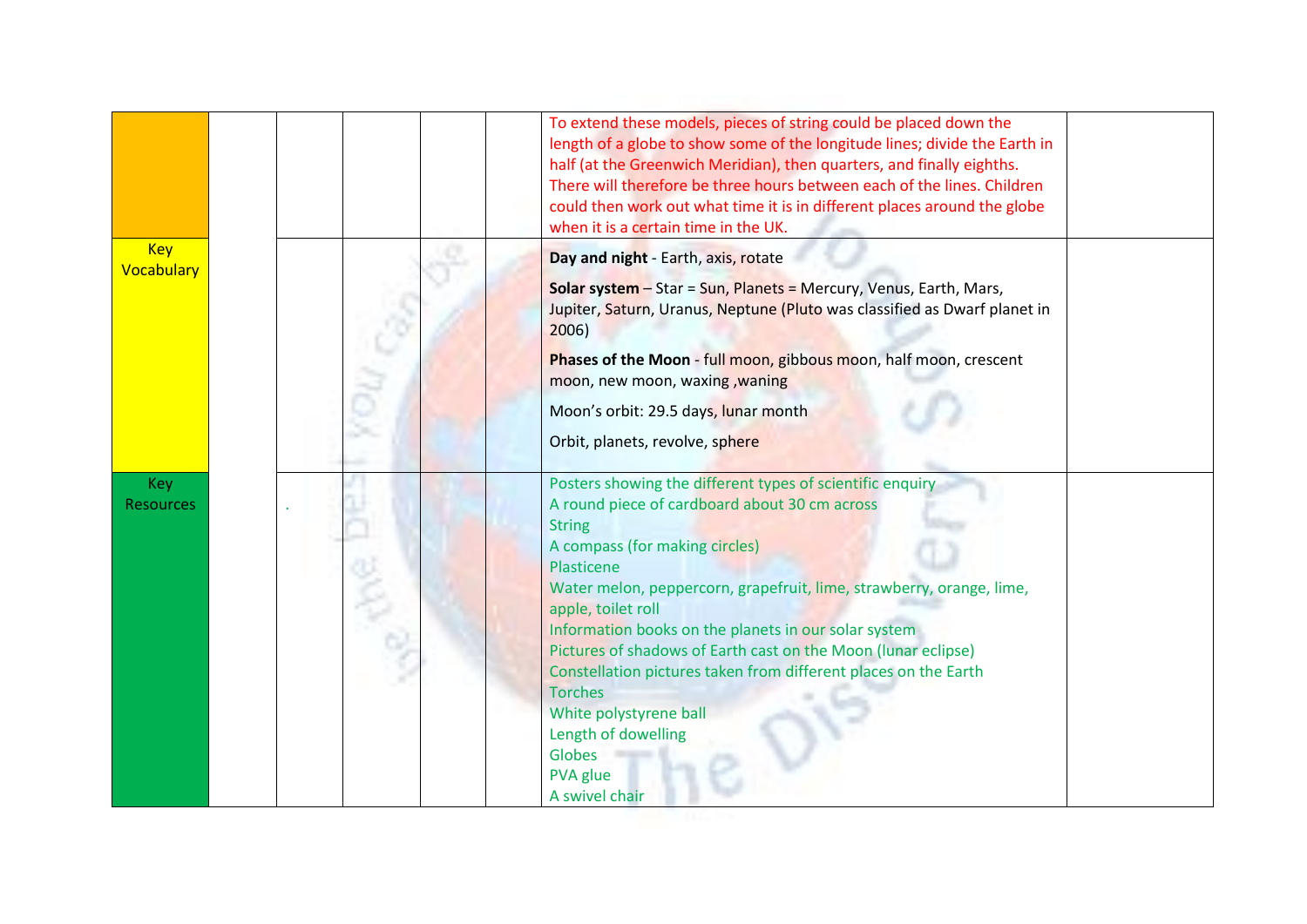|                                | To extend these models, pieces of string could be placed down the<br>length of a globe to show some of the longitude lines; divide the Earth in<br>half (at the Greenwich Meridian), then quarters, and finally eighths.<br>There will therefore be three hours between each of the lines. Children<br>could then work out what time it is in different places around the globe<br>when it is a certain time in the UK. |
|--------------------------------|-------------------------------------------------------------------------------------------------------------------------------------------------------------------------------------------------------------------------------------------------------------------------------------------------------------------------------------------------------------------------------------------------------------------------|
| <b>Key</b>                     | Day and night - Earth, axis, rotate                                                                                                                                                                                                                                                                                                                                                                                     |
| Vocabulary                     | <b>Solar system</b> - Star = Sun, Planets = Mercury, Venus, Earth, Mars,<br>Jupiter, Saturn, Uranus, Neptune (Pluto was classified as Dwarf planet in<br>2006)                                                                                                                                                                                                                                                          |
|                                | Phases of the Moon - full moon, gibbous moon, half moon, crescent<br>moon, new moon, waxing, waning                                                                                                                                                                                                                                                                                                                     |
|                                | Moon's orbit: 29.5 days, lunar month                                                                                                                                                                                                                                                                                                                                                                                    |
|                                | Orbit, planets, revolve, sphere                                                                                                                                                                                                                                                                                                                                                                                         |
|                                |                                                                                                                                                                                                                                                                                                                                                                                                                         |
| <b>Key</b><br><b>Resources</b> | Posters showing the different types of scientific enquiry<br>A round piece of cardboard about 30 cm across<br><b>String</b>                                                                                                                                                                                                                                                                                             |
|                                | A compass (for making circles)                                                                                                                                                                                                                                                                                                                                                                                          |
|                                | Plasticene<br>Water melon, peppercorn, grapefruit, lime, strawberry, orange, lime,<br>apple, toilet roll                                                                                                                                                                                                                                                                                                                |
|                                | Information books on the planets in our solar system                                                                                                                                                                                                                                                                                                                                                                    |
|                                | Pictures of shadows of Earth cast on the Moon (lunar eclipse)<br>Constellation pictures taken from different places on the Earth                                                                                                                                                                                                                                                                                        |
|                                | <b>Torches</b>                                                                                                                                                                                                                                                                                                                                                                                                          |
|                                | White polystyrene ball                                                                                                                                                                                                                                                                                                                                                                                                  |
|                                | Length of dowelling                                                                                                                                                                                                                                                                                                                                                                                                     |
|                                | <b>Globes</b>                                                                                                                                                                                                                                                                                                                                                                                                           |
|                                | PVA glue<br>A swivel chair                                                                                                                                                                                                                                                                                                                                                                                              |
|                                |                                                                                                                                                                                                                                                                                                                                                                                                                         |